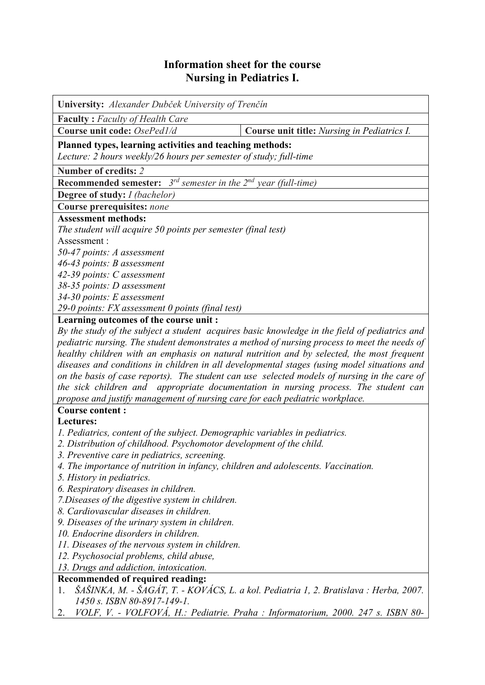## **Information sheet for the course Nursing in Pediatrics I.**

| University: Alexander Dubček University of Trenčín                                                                            |                                                                                     |  |  |  |  |
|-------------------------------------------------------------------------------------------------------------------------------|-------------------------------------------------------------------------------------|--|--|--|--|
| <b>Faculty: Faculty of Health Care</b>                                                                                        |                                                                                     |  |  |  |  |
| Course unit code: OsePed1/d                                                                                                   | Course unit title: Nursing in Pediatrics I.                                         |  |  |  |  |
| Planned types, learning activities and teaching methods:<br>Lecture: 2 hours weekly/26 hours per semester of study; full-time |                                                                                     |  |  |  |  |
| Number of credits: 2                                                                                                          |                                                                                     |  |  |  |  |
| <b>Recommended semester:</b> $3^{rd}$ semester in the $2^{nd}$ year (full-time)                                               |                                                                                     |  |  |  |  |
| <b>Degree of study:</b> <i>I (bachelor)</i>                                                                                   |                                                                                     |  |  |  |  |
| <b>Course prerequisites: none</b>                                                                                             |                                                                                     |  |  |  |  |
| <b>Assessment methods:</b>                                                                                                    |                                                                                     |  |  |  |  |
| The student will acquire 50 points per semester (final test)                                                                  |                                                                                     |  |  |  |  |
| Assessment:                                                                                                                   |                                                                                     |  |  |  |  |
| 50-47 points: A assessment                                                                                                    |                                                                                     |  |  |  |  |
| 46-43 points: B assessment                                                                                                    |                                                                                     |  |  |  |  |
| 42-39 points: C assessment                                                                                                    |                                                                                     |  |  |  |  |
| 38-35 points: D assessment                                                                                                    |                                                                                     |  |  |  |  |
| 34-30 points: E assessment                                                                                                    |                                                                                     |  |  |  |  |
| 29-0 points: FX assessment 0 points (final test)                                                                              |                                                                                     |  |  |  |  |
| Learning outcomes of the course unit :                                                                                        |                                                                                     |  |  |  |  |
| By the study of the subject a student acquires basic knowledge in the field of pediatrics and                                 |                                                                                     |  |  |  |  |
| pediatric nursing. The student demonstrates a method of nursing process to meet the needs of                                  |                                                                                     |  |  |  |  |
| healthy children with an emphasis on natural nutrition and by selected, the most frequent                                     |                                                                                     |  |  |  |  |
| diseases and conditions in children in all developmental stages (using model situations and                                   |                                                                                     |  |  |  |  |
| on the basis of case reports). The student can use selected models of nursing in the care of                                  |                                                                                     |  |  |  |  |
|                                                                                                                               | the sick children and appropriate documentation in nursing process. The student can |  |  |  |  |
| propose and justify management of nursing care for each pediatric workplace.                                                  |                                                                                     |  |  |  |  |
| <b>Course content:</b>                                                                                                        |                                                                                     |  |  |  |  |
| Lectures:                                                                                                                     |                                                                                     |  |  |  |  |
| 1. Pediatrics, content of the subject. Demographic variables in pediatrics.                                                   |                                                                                     |  |  |  |  |
| 2. Distribution of childhood. Psychomotor development of the child.                                                           |                                                                                     |  |  |  |  |
| 3. Preventive care in pediatrics, screening.                                                                                  |                                                                                     |  |  |  |  |
| 4. The importance of nutrition in infancy, children and adolescents. Vaccination.                                             |                                                                                     |  |  |  |  |
| 5. History in pediatrics.                                                                                                     |                                                                                     |  |  |  |  |
| 6. Respiratory diseases in children.<br>7. Diseases of the digestive system in children.                                      |                                                                                     |  |  |  |  |
| 8. Cardiovascular diseases in children.                                                                                       |                                                                                     |  |  |  |  |
| 9. Diseases of the urinary system in children.                                                                                |                                                                                     |  |  |  |  |
| 10. Endocrine disorders in children.                                                                                          |                                                                                     |  |  |  |  |
| 11. Diseases of the nervous system in children.                                                                               |                                                                                     |  |  |  |  |
| 12. Psychosocial problems, child abuse,                                                                                       |                                                                                     |  |  |  |  |
| 13. Drugs and addiction, intoxication.                                                                                        |                                                                                     |  |  |  |  |
| Recommended of required reading:                                                                                              |                                                                                     |  |  |  |  |
| ŠAŠINKA, M. - ŠAGÁT, T. - KOVÁCS, L. a kol. Pediatria 1, 2. Bratislava : Herba, 2007.<br>1.                                   |                                                                                     |  |  |  |  |
| 1450 s. ISBN 80-8917-149-1.                                                                                                   |                                                                                     |  |  |  |  |
| 2.                                                                                                                            | VOLF, V. - VOLFOVÁ, H.: Pediatrie. Praha : Informatorium, 2000. 247 s. ISBN 80-     |  |  |  |  |